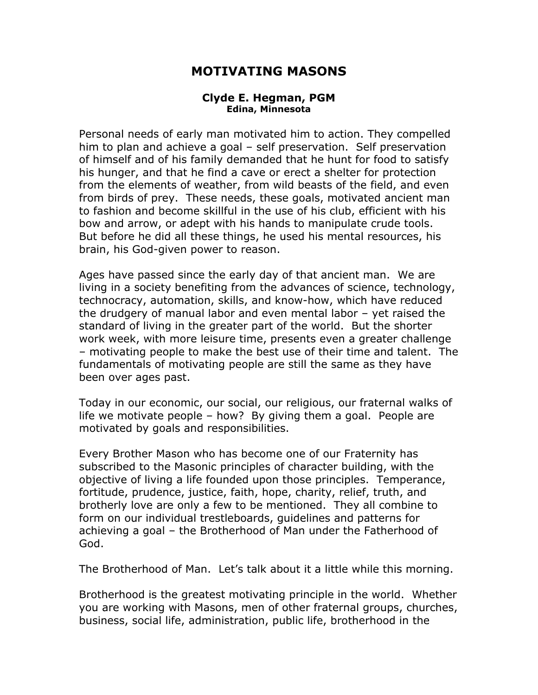## **MOTIVATING MASONS**

## **Clyde E. Hegman, PGM Edina, Minnesota**

Personal needs of early man motivated him to action. They compelled him to plan and achieve a goal – self preservation. Self preservation of himself and of his family demanded that he hunt for food to satisfy his hunger, and that he find a cave or erect a shelter for protection from the elements of weather, from wild beasts of the field, and even from birds of prey. These needs, these goals, motivated ancient man to fashion and become skillful in the use of his club, efficient with his bow and arrow, or adept with his hands to manipulate crude tools. But before he did all these things, he used his mental resources, his brain, his God-given power to reason.

Ages have passed since the early day of that ancient man. We are living in a society benefiting from the advances of science, technology, technocracy, automation, skills, and know-how, which have reduced the drudgery of manual labor and even mental labor – yet raised the standard of living in the greater part of the world. But the shorter work week, with more leisure time, presents even a greater challenge – motivating people to make the best use of their time and talent. The fundamentals of motivating people are still the same as they have been over ages past.

Today in our economic, our social, our religious, our fraternal walks of life we motivate people – how? By giving them a goal. People are motivated by goals and responsibilities.

Every Brother Mason who has become one of our Fraternity has subscribed to the Masonic principles of character building, with the objective of living a life founded upon those principles. Temperance, fortitude, prudence, justice, faith, hope, charity, relief, truth, and brotherly love are only a few to be mentioned. They all combine to form on our individual trestleboards, guidelines and patterns for achieving a goal – the Brotherhood of Man under the Fatherhood of God.

The Brotherhood of Man. Let's talk about it a little while this morning.

Brotherhood is the greatest motivating principle in the world. Whether you are working with Masons, men of other fraternal groups, churches, business, social life, administration, public life, brotherhood in the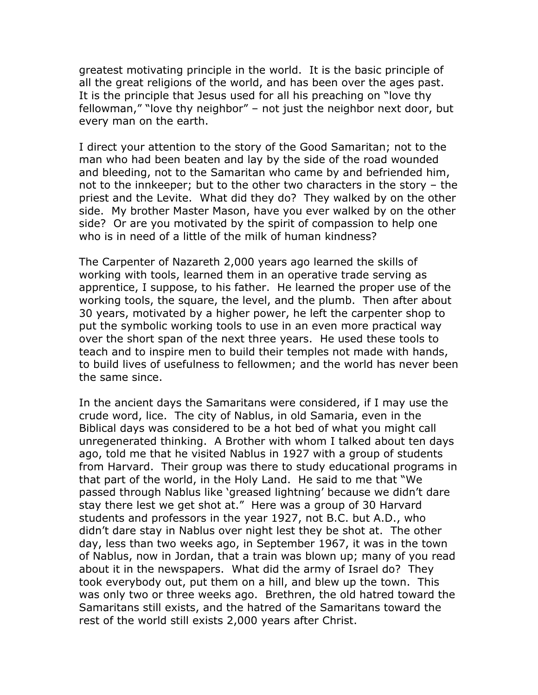greatest motivating principle in the world. It is the basic principle of all the great religions of the world, and has been over the ages past. It is the principle that Jesus used for all his preaching on "love thy fellowman," "love thy neighbor" – not just the neighbor next door, but every man on the earth.

I direct your attention to the story of the Good Samaritan; not to the man who had been beaten and lay by the side of the road wounded and bleeding, not to the Samaritan who came by and befriended him, not to the innkeeper; but to the other two characters in the story – the priest and the Levite. What did they do? They walked by on the other side. My brother Master Mason, have you ever walked by on the other side? Or are you motivated by the spirit of compassion to help one who is in need of a little of the milk of human kindness?

The Carpenter of Nazareth 2,000 years ago learned the skills of working with tools, learned them in an operative trade serving as apprentice, I suppose, to his father. He learned the proper use of the working tools, the square, the level, and the plumb. Then after about 30 years, motivated by a higher power, he left the carpenter shop to put the symbolic working tools to use in an even more practical way over the short span of the next three years. He used these tools to teach and to inspire men to build their temples not made with hands, to build lives of usefulness to fellowmen; and the world has never been the same since.

In the ancient days the Samaritans were considered, if I may use the crude word, lice. The city of Nablus, in old Samaria, even in the Biblical days was considered to be a hot bed of what you might call unregenerated thinking. A Brother with whom I talked about ten days ago, told me that he visited Nablus in 1927 with a group of students from Harvard. Their group was there to study educational programs in that part of the world, in the Holy Land. He said to me that "We passed through Nablus like 'greased lightning' because we didn't dare stay there lest we get shot at." Here was a group of 30 Harvard students and professors in the year 1927, not B.C. but A.D., who didn't dare stay in Nablus over night lest they be shot at. The other day, less than two weeks ago, in September 1967, it was in the town of Nablus, now in Jordan, that a train was blown up; many of you read about it in the newspapers. What did the army of Israel do? They took everybody out, put them on a hill, and blew up the town. This was only two or three weeks ago. Brethren, the old hatred toward the Samaritans still exists, and the hatred of the Samaritans toward the rest of the world still exists 2,000 years after Christ.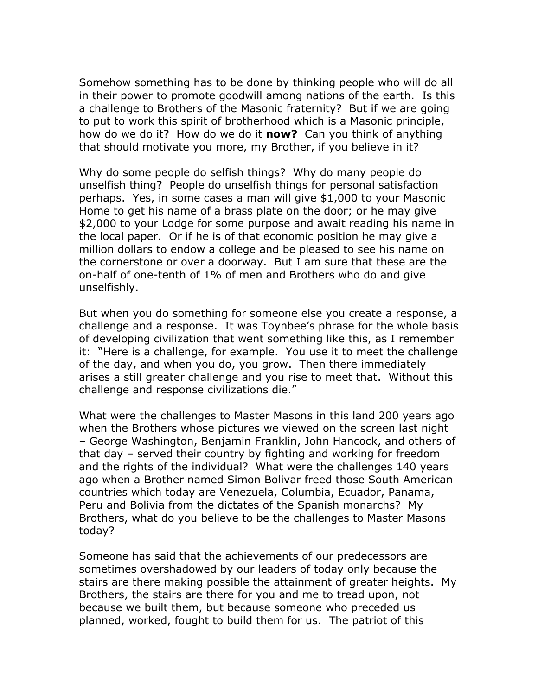Somehow something has to be done by thinking people who will do all in their power to promote goodwill among nations of the earth. Is this a challenge to Brothers of the Masonic fraternity? But if we are going to put to work this spirit of brotherhood which is a Masonic principle, how do we do it? How do we do it **now?** Can you think of anything that should motivate you more, my Brother, if you believe in it?

Why do some people do selfish things? Why do many people do unselfish thing? People do unselfish things for personal satisfaction perhaps. Yes, in some cases a man will give \$1,000 to your Masonic Home to get his name of a brass plate on the door; or he may give \$2,000 to your Lodge for some purpose and await reading his name in the local paper. Or if he is of that economic position he may give a million dollars to endow a college and be pleased to see his name on the cornerstone or over a doorway. But I am sure that these are the on-half of one-tenth of 1% of men and Brothers who do and give unselfishly.

But when you do something for someone else you create a response, a challenge and a response. It was Toynbee's phrase for the whole basis of developing civilization that went something like this, as I remember it: "Here is a challenge, for example. You use it to meet the challenge of the day, and when you do, you grow. Then there immediately arises a still greater challenge and you rise to meet that. Without this challenge and response civilizations die."

What were the challenges to Master Masons in this land 200 years ago when the Brothers whose pictures we viewed on the screen last night – George Washington, Benjamin Franklin, John Hancock, and others of that day – served their country by fighting and working for freedom and the rights of the individual? What were the challenges 140 years ago when a Brother named Simon Bolivar freed those South American countries which today are Venezuela, Columbia, Ecuador, Panama, Peru and Bolivia from the dictates of the Spanish monarchs? My Brothers, what do you believe to be the challenges to Master Masons today?

Someone has said that the achievements of our predecessors are sometimes overshadowed by our leaders of today only because the stairs are there making possible the attainment of greater heights. My Brothers, the stairs are there for you and me to tread upon, not because we built them, but because someone who preceded us planned, worked, fought to build them for us. The patriot of this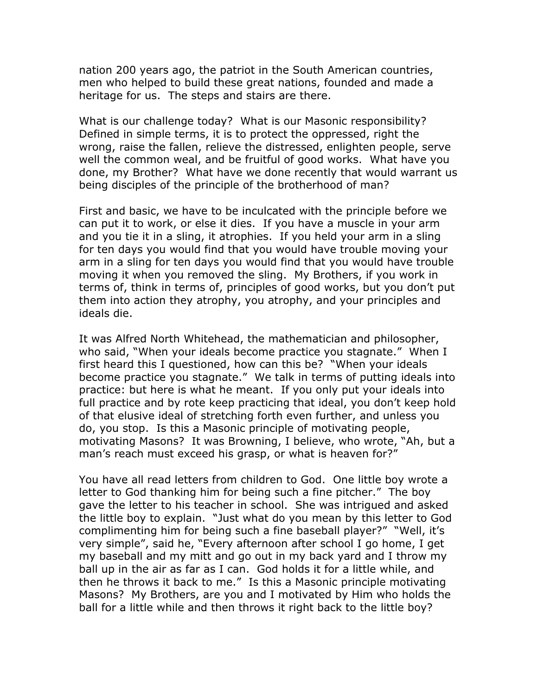nation 200 years ago, the patriot in the South American countries, men who helped to build these great nations, founded and made a heritage for us. The steps and stairs are there.

What is our challenge today? What is our Masonic responsibility? Defined in simple terms, it is to protect the oppressed, right the wrong, raise the fallen, relieve the distressed, enlighten people, serve well the common weal, and be fruitful of good works. What have you done, my Brother? What have we done recently that would warrant us being disciples of the principle of the brotherhood of man?

First and basic, we have to be inculcated with the principle before we can put it to work, or else it dies. If you have a muscle in your arm and you tie it in a sling, it atrophies. If you held your arm in a sling for ten days you would find that you would have trouble moving your arm in a sling for ten days you would find that you would have trouble moving it when you removed the sling. My Brothers, if you work in terms of, think in terms of, principles of good works, but you don't put them into action they atrophy, you atrophy, and your principles and ideals die.

It was Alfred North Whitehead, the mathematician and philosopher, who said, "When your ideals become practice you stagnate." When I first heard this I questioned, how can this be? "When your ideals become practice you stagnate." We talk in terms of putting ideals into practice: but here is what he meant. If you only put your ideals into full practice and by rote keep practicing that ideal, you don't keep hold of that elusive ideal of stretching forth even further, and unless you do, you stop. Is this a Masonic principle of motivating people, motivating Masons? It was Browning, I believe, who wrote, "Ah, but a man's reach must exceed his grasp, or what is heaven for?"

You have all read letters from children to God. One little boy wrote a letter to God thanking him for being such a fine pitcher." The boy gave the letter to his teacher in school. She was intrigued and asked the little boy to explain. "Just what do you mean by this letter to God complimenting him for being such a fine baseball player?" "Well, it's very simple", said he, "Every afternoon after school I go home, I get my baseball and my mitt and go out in my back yard and I throw my ball up in the air as far as I can. God holds it for a little while, and then he throws it back to me." Is this a Masonic principle motivating Masons? My Brothers, are you and I motivated by Him who holds the ball for a little while and then throws it right back to the little boy?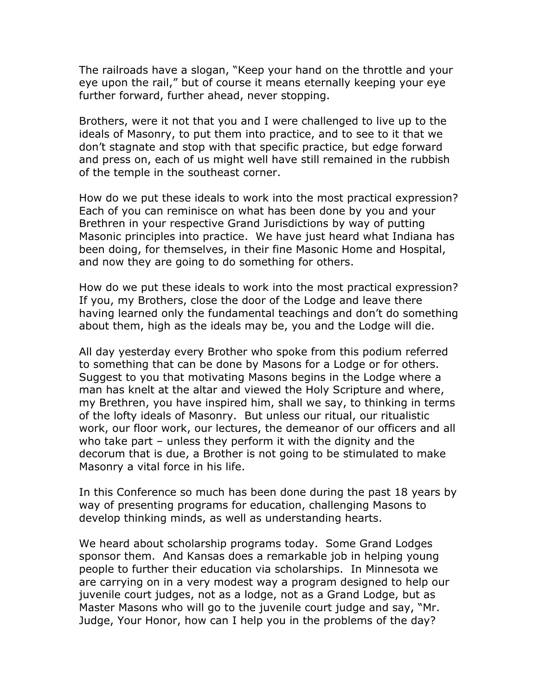The railroads have a slogan, "Keep your hand on the throttle and your eye upon the rail," but of course it means eternally keeping your eye further forward, further ahead, never stopping.

Brothers, were it not that you and I were challenged to live up to the ideals of Masonry, to put them into practice, and to see to it that we don't stagnate and stop with that specific practice, but edge forward and press on, each of us might well have still remained in the rubbish of the temple in the southeast corner.

How do we put these ideals to work into the most practical expression? Each of you can reminisce on what has been done by you and your Brethren in your respective Grand Jurisdictions by way of putting Masonic principles into practice. We have just heard what Indiana has been doing, for themselves, in their fine Masonic Home and Hospital, and now they are going to do something for others.

How do we put these ideals to work into the most practical expression? If you, my Brothers, close the door of the Lodge and leave there having learned only the fundamental teachings and don't do something about them, high as the ideals may be, you and the Lodge will die.

All day yesterday every Brother who spoke from this podium referred to something that can be done by Masons for a Lodge or for others. Suggest to you that motivating Masons begins in the Lodge where a man has knelt at the altar and viewed the Holy Scripture and where, my Brethren, you have inspired him, shall we say, to thinking in terms of the lofty ideals of Masonry. But unless our ritual, our ritualistic work, our floor work, our lectures, the demeanor of our officers and all who take part – unless they perform it with the dignity and the decorum that is due, a Brother is not going to be stimulated to make Masonry a vital force in his life.

In this Conference so much has been done during the past 18 years by way of presenting programs for education, challenging Masons to develop thinking minds, as well as understanding hearts.

We heard about scholarship programs today. Some Grand Lodges sponsor them. And Kansas does a remarkable job in helping young people to further their education via scholarships. In Minnesota we are carrying on in a very modest way a program designed to help our juvenile court judges, not as a lodge, not as a Grand Lodge, but as Master Masons who will go to the juvenile court judge and say, "Mr. Judge, Your Honor, how can I help you in the problems of the day?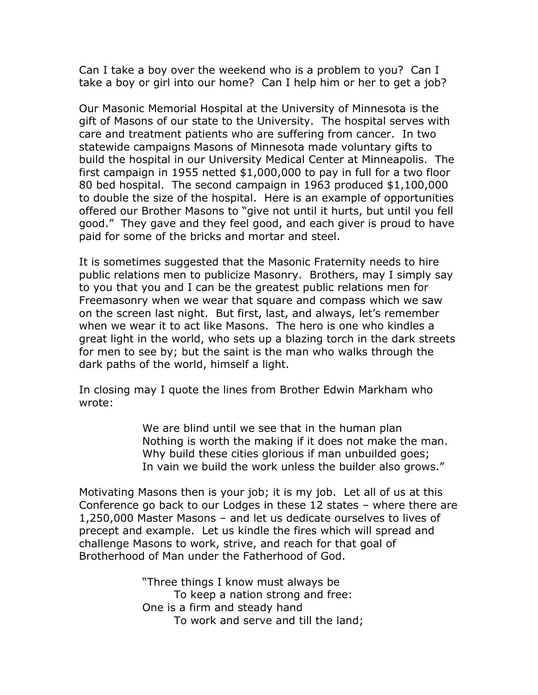Can I take a boy over the weekend who is a problem to you? Can I take a boy or girl into our home? Can I help him or her to get a job?

Our Masonic Memorial Hospital at the University of Minnesota is the gift of Masons of our state to the University. The hospital serves with care and treatment patients who are suffering from cancer. In two statewide campaigns Masons of Minnesota made voluntary gifts to build the hospital in our University Medical Center at Minneapolis. The first campaign in 1955 netted \$1,000,000 to pay in full for a two floor 80 bed hospital. The second campaign in 1963 produced \$1,100,000 to double the size of the hospital. Here is an example of opportunities offered our Brother Masons to "give not until it hurts, but until you fell good." They gave and they feel good, and each giver is proud to have paid for some of the bricks and mortar and steel.

It is sometimes suggested that the Masonic Fraternity needs to hire public relations men to publicize Masonry. Brothers, may I simply say to you that you and I can be the greatest public relations men for Freemasonry when we wear that square and compass which we saw on the screen last night. But first, last, and always, let's remember when we wear it to act like Masons. The hero is one who kindles a great light in the world, who sets up a blazing torch in the dark streets for men to see by; but the saint is the man who walks through the dark paths of the world, himself a light.

In closing may I quote the lines from Brother Edwin Markham who wrote:

> We are blind until we see that in the human plan Nothing is worth the making if it does not make the man. Why build these cities glorious if man unbuilded goes; In vain we build the work unless the builder also grows."

Motivating Masons then is your job; it is my job. Let all of us at this Conference go back to our Lodges in these 12 states – where there are 1,250,000 Master Masons – and let us dedicate ourselves to lives of precept and example. Let us kindle the fires which will spread and challenge Masons to work, strive, and reach for that goal of Brotherhood of Man under the Fatherhood of God.

> "Three things I know must always be To keep a nation strong and free: One is a firm and steady hand To work and serve and till the land;